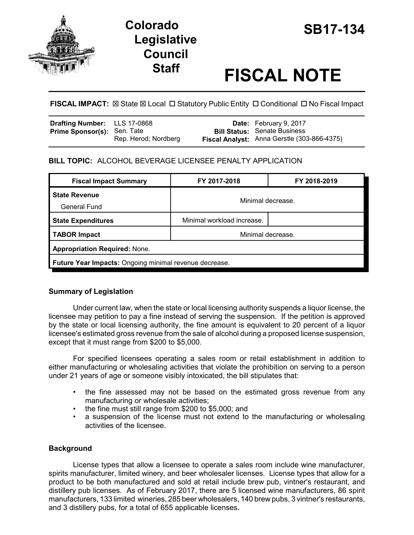

# **SB17-134 Colorado Legislative Council**

# **Staff FISCAL NOTE**

**FISCAL IMPACT:**  $\boxtimes$  **State**  $\boxtimes$  **Local □ Statutory Public Entity □ Conditional □ No Fiscal Impact** 

| <b>Drafting Number:</b> LLS 17-0868 |                      | <b>Date:</b> February 9, 2017               |
|-------------------------------------|----------------------|---------------------------------------------|
| <b>Prime Sponsor(s): Sen. Tate</b>  |                      | <b>Bill Status: Senate Business</b>         |
|                                     | Rep. Herod; Nordberg | Fiscal Analyst: Anna Gerstle (303-866-4375) |

# **BILL TOPIC:** ALCOHOL BEVERAGE LICENSEE PENALTY APPLICATION

| <b>Fiscal Impact Summary</b>                           | FY 2017-2018               | FY 2018-2019 |  |  |
|--------------------------------------------------------|----------------------------|--------------|--|--|
| <b>State Revenue</b><br><b>General Fund</b>            | Minimal decrease.          |              |  |  |
| <b>State Expenditures</b>                              | Minimal workload increase. |              |  |  |
| TABOR Impact                                           | Minimal decrease.          |              |  |  |
| <b>Appropriation Required: None.</b>                   |                            |              |  |  |
| Future Year Impacts: Ongoing minimal revenue decrease. |                            |              |  |  |

## **Summary of Legislation**

Under current law, when the state or local licensing authority suspends a liquor license, the licensee may petition to pay a fine instead of serving the suspension. If the petition is approved by the state or local licensing authority, the fine amount is equivalent to 20 percent of a liquor licensee's estimated gross revenue from the sale of alcohol during a proposed license suspension, except that it must range from \$200 to \$5,000.

For specified licensees operating a sales room or retail establishment in addition to either manufacturing or wholesaling activities that violate the prohibition on serving to a person under 21 years of age or someone visibly intoxicated, the bill stipulates that:

- the fine assessed may not be based on the estimated gross revenue from any manufacturing or wholesale activities;
- the fine must still range from \$200 to \$5,000; and
- a suspension of the license must not extend to the manufacturing or wholesaling activities of the licensee.

## **Background**

License types that allow a licensee to operate a sales room include wine manufacturer, spirits manufacturer, limited winery, and beer wholesaler licenses. License types that allow for a product to be both manufactured and sold at retail include brew pub, vintner's restaurant, and distillery pub licenses. As of February 2017, there are 5 licensed wine manufacturers, 86 spirit manufacturers, 133 limited wineries, 285 beer wholesalers, 140 brew pubs, 3 vintner's restaurants, and 3 distillery pubs, for a total of 655 applicable licenses.